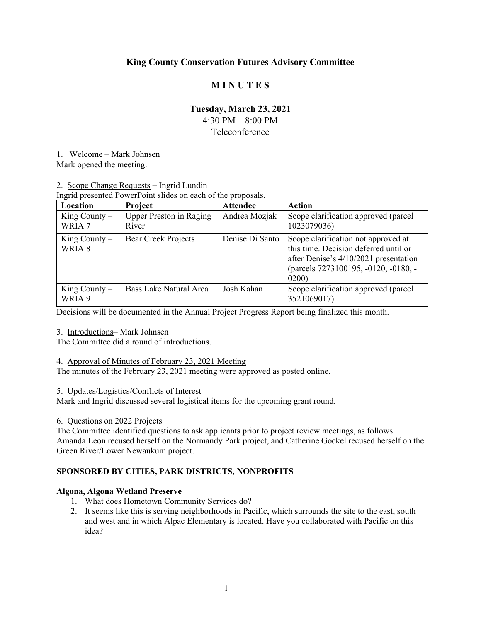# **King County Conservation Futures Advisory Committee**

# **M I N U T E S**

# **Tuesday, March 23, 2021**

4:30 PM – 8:00 PM

#### Teleconference

1. Welcome – Mark Johnsen

Mark opened the meeting.

# 2. Scope Change Requests – Ingrid Lundin

Ingrid presented PowerPoint slides on each of the proposals.

| Location                  | Project                                 | <b>Attendee</b> | Action                                                                                                                                                                |
|---------------------------|-----------------------------------------|-----------------|-----------------------------------------------------------------------------------------------------------------------------------------------------------------------|
| King County $-$<br>WRIA 7 | <b>Upper Preston in Raging</b><br>River | Andrea Mozjak   | Scope clarification approved (parcel<br>1023079036)                                                                                                                   |
| King County $-$<br>WRIA 8 | <b>Bear Creek Projects</b>              | Denise Di Santo | Scope clarification not approved at<br>this time. Decision deferred until or<br>after Denise's 4/10/2021 presentation<br>(parcels 7273100195, -0120, -0180, -<br>0200 |
| King County $-$<br>WRIA 9 | Bass Lake Natural Area                  | Josh Kahan      | Scope clarification approved (parcel<br>3521069017)                                                                                                                   |

Decisions will be documented in the Annual Project Progress Report being finalized this month.

## 3. Introductions– Mark Johnsen

The Committee did a round of introductions.

## 4. Approval of Minutes of February 23, 2021 Meeting

The minutes of the February 23, 2021 meeting were approved as posted online.

#### 5. Updates/Logistics/Conflicts of Interest

Mark and Ingrid discussed several logistical items for the upcoming grant round.

#### 6. Questions on 2022 Projects

The Committee identified questions to ask applicants prior to project review meetings, as follows. Amanda Leon recused herself on the Normandy Park project, and Catherine Gockel recused herself on the Green River/Lower Newaukum project.

## **SPONSORED BY CITIES, PARK DISTRICTS, NONPROFITS**

#### **Algona, Algona Wetland Preserve**

- 1. What does Hometown Community Services do?
- 2. It seems like this is serving neighborhoods in Pacific, which surrounds the site to the east, south and west and in which Alpac Elementary is located. Have you collaborated with Pacific on this idea?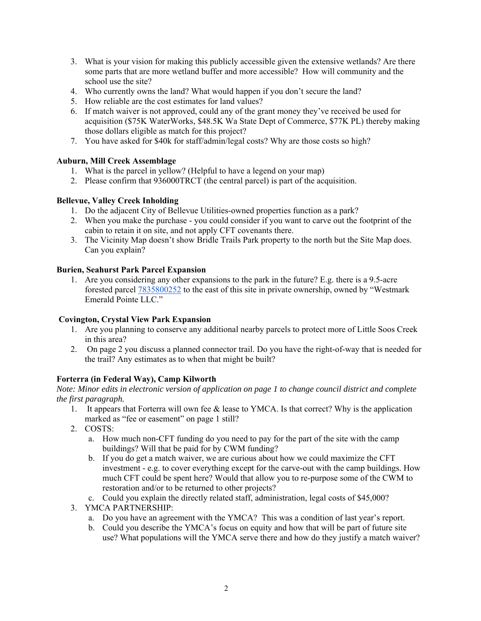- 3. What is your vision for making this publicly accessible given the extensive wetlands? Are there some parts that are more wetland buffer and more accessible? How will community and the school use the site?
- 4. Who currently owns the land? What would happen if you don't secure the land?
- 5. How reliable are the cost estimates for land values?
- 6. If match waiver is not approved, could any of the grant money they've received be used for acquisition (\$75K WaterWorks, \$48.5K Wa State Dept of Commerce, \$77K PL) thereby making those dollars eligible as match for this project?
- 7. You have asked for \$40k for staff/admin/legal costs? Why are those costs so high?

## **Auburn, Mill Creek Assemblage**

- 1. What is the parcel in yellow? (Helpful to have a legend on your map)
- 2. Please confirm that 936000TRCT (the central parcel) is part of the acquisition.

## **Bellevue, Valley Creek Inholding**

- 1. Do the adjacent City of Bellevue Utilities-owned properties function as a park?
- 2. When you make the purchase you could consider if you want to carve out the footprint of the cabin to retain it on site, and not apply CFT covenants there.
- 3. The Vicinity Map doesn't show Bridle Trails Park property to the north but the Site Map does. Can you explain?

## **Burien, Seahurst Park Parcel Expansion**

1. Are you considering any other expansions to the park in the future? E.g. there is a 9.5-acre forested parcel 7835800252 to the east of this site in private ownership, owned by "Westmark Emerald Pointe LLC."

## **Covington, Crystal View Park Expansion**

- 1. Are you planning to conserve any additional nearby parcels to protect more of Little Soos Creek in this area?
- 2. On page 2 you discuss a planned connector trail. Do you have the right-of-way that is needed for the trail? Any estimates as to when that might be built?

## **Forterra (in Federal Way), Camp Kilworth**

*Note: Minor edits in electronic version of application on page 1 to change council district and complete the first paragraph.*

- 1. It appears that Forterra will own fee & lease to YMCA. Is that correct? Why is the application marked as "fee or easement" on page 1 still?
- 2. COSTS:
	- a. How much non-CFT funding do you need to pay for the part of the site with the camp buildings? Will that be paid for by CWM funding?
	- b. If you do get a match waiver, we are curious about how we could maximize the CFT investment - e.g. to cover everything except for the carve-out with the camp buildings. How much CFT could be spent here? Would that allow you to re-purpose some of the CWM to restoration and/or to be returned to other projects?
	- c. Could you explain the directly related staff, administration, legal costs of \$45,000?
- 3. YMCA PARTNERSHIP:
	- a. Do you have an agreement with the YMCA? This was a condition of last year's report.
	- b. Could you describe the YMCA's focus on equity and how that will be part of future site use? What populations will the YMCA serve there and how do they justify a match waiver?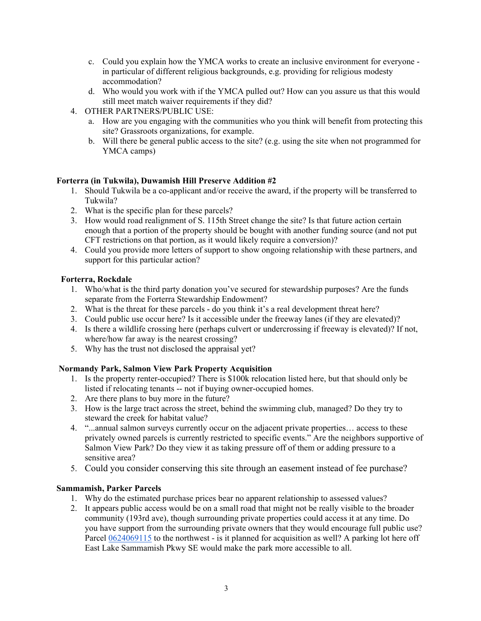- c. Could you explain how the YMCA works to create an inclusive environment for everyone in particular of different religious backgrounds, e.g. providing for religious modesty accommodation?
- d. Who would you work with if the YMCA pulled out? How can you assure us that this would still meet match waiver requirements if they did?
- 4. OTHER PARTNERS/PUBLIC USE:
	- a. How are you engaging with the communities who you think will benefit from protecting this site? Grassroots organizations, for example.
	- b. Will there be general public access to the site? (e.g. using the site when not programmed for YMCA camps)

## **Forterra (in Tukwila), Duwamish Hill Preserve Addition #2**

- 1. Should Tukwila be a co-applicant and/or receive the award, if the property will be transferred to Tukwila?
- 2. What is the specific plan for these parcels?
- 3. How would road realignment of S. 115th Street change the site? Is that future action certain enough that a portion of the property should be bought with another funding source (and not put CFT restrictions on that portion, as it would likely require a conversion)?
- 4. Could you provide more letters of support to show ongoing relationship with these partners, and support for this particular action?

#### **Forterra, Rockdale**

- 1. Who/what is the third party donation you've secured for stewardship purposes? Are the funds separate from the Forterra Stewardship Endowment?
- 2. What is the threat for these parcels do you think it's a real development threat here?
- 3. Could public use occur here? Is it accessible under the freeway lanes (if they are elevated)?
- 4. Is there a wildlife crossing here (perhaps culvert or undercrossing if freeway is elevated)? If not, where/how far away is the nearest crossing?
- 5. Why has the trust not disclosed the appraisal yet?

## **Normandy Park, Salmon View Park Property Acquisition**

- 1. Is the property renter-occupied? There is \$100k relocation listed here, but that should only be listed if relocating tenants -- not if buying owner-occupied homes.
- 2. Are there plans to buy more in the future?
- 3. How is the large tract across the street, behind the swimming club, managed? Do they try to steward the creek for habitat value?
- 4. "...annual salmon surveys currently occur on the adjacent private properties… access to these privately owned parcels is currently restricted to specific events." Are the neighbors supportive of Salmon View Park? Do they view it as taking pressure off of them or adding pressure to a sensitive area?
- 5. Could you consider conserving this site through an easement instead of fee purchase?

#### **Sammamish, Parker Parcels**

- 1. Why do the estimated purchase prices bear no apparent relationship to assessed values?
- 2. It appears public access would be on a small road that might not be really visible to the broader community (193rd ave), though surrounding private properties could access it at any time. Do you have support from the surrounding private owners that they would encourage full public use? Parcel 0624069115 to the northwest - is it planned for acquisition as well? A parking lot here off East Lake Sammamish Pkwy SE would make the park more accessible to all.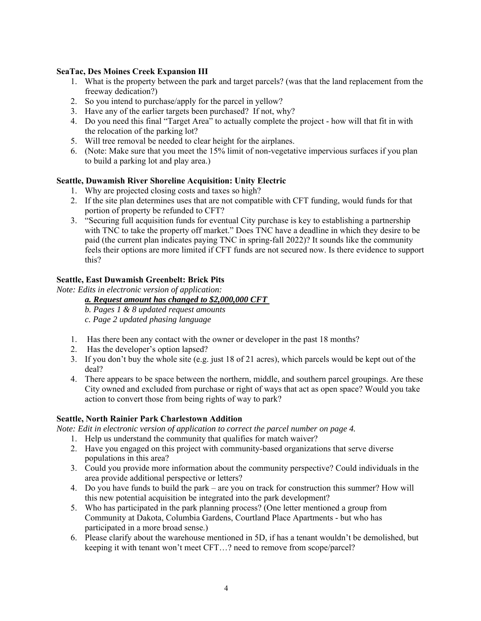## **SeaTac, Des Moines Creek Expansion III**

- 1. What is the property between the park and target parcels? (was that the land replacement from the freeway dedication?)
- 2. So you intend to purchase/apply for the parcel in yellow?
- 3. Have any of the earlier targets been purchased? If not, why?
- 4. Do you need this final "Target Area" to actually complete the project how will that fit in with the relocation of the parking lot?
- 5. Will tree removal be needed to clear height for the airplanes.
- 6. (Note: Make sure that you meet the 15% limit of non-vegetative impervious surfaces if you plan to build a parking lot and play area.)

## **Seattle, Duwamish River Shoreline Acquisition: Unity Electric**

- 1. Why are projected closing costs and taxes so high?
- 2. If the site plan determines uses that are not compatible with CFT funding, would funds for that portion of property be refunded to CFT?
- 3. "Securing full acquisition funds for eventual City purchase is key to establishing a partnership with TNC to take the property off market." Does TNC have a deadline in which they desire to be paid (the current plan indicates paying TNC in spring-fall 2022)? It sounds like the community feels their options are more limited if CFT funds are not secured now. Is there evidence to support this?

## **Seattle, East Duwamish Greenbelt: Brick Pits**

*Note: Edits in electronic version of application:*

#### *a. Request amount has changed to \$2,000,000 CFT*

*b. Pages 1 & 8 updated request amounts*

*c. Page 2 updated phasing language*

- 1. Has there been any contact with the owner or developer in the past 18 months?
- 2. Has the developer's option lapsed?
- 3. If you don't buy the whole site (e.g. just 18 of 21 acres), which parcels would be kept out of the deal?
- 4. There appears to be space between the northern, middle, and southern parcel groupings. Are these City owned and excluded from purchase or right of ways that act as open space? Would you take action to convert those from being rights of way to park?

## **Seattle, North Rainier Park Charlestown Addition**

*Note: Edit in electronic version of application to correct the parcel number on page 4.*

- 1. Help us understand the community that qualifies for match waiver?
- 2. Have you engaged on this project with community-based organizations that serve diverse populations in this area?
- 3. Could you provide more information about the community perspective? Could individuals in the area provide additional perspective or letters?
- 4. Do you have funds to build the park are you on track for construction this summer? How will this new potential acquisition be integrated into the park development?
- 5. Who has participated in the park planning process? (One letter mentioned a group from Community at Dakota, Columbia Gardens, Courtland Place Apartments - but who has participated in a more broad sense.)
- 6. Please clarify about the warehouse mentioned in 5D, if has a tenant wouldn't be demolished, but keeping it with tenant won't meet CFT…? need to remove from scope/parcel?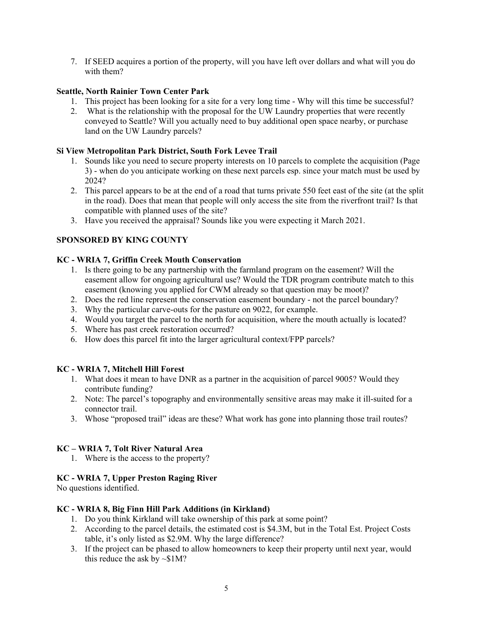7. If SEED acquires a portion of the property, will you have left over dollars and what will you do with them?

## **Seattle, North Rainier Town Center Park**

- 1. This project has been looking for a site for a very long time Why will this time be successful?
- 2. What is the relationship with the proposal for the UW Laundry properties that were recently conveyed to Seattle? Will you actually need to buy additional open space nearby, or purchase land on the UW Laundry parcels?

#### **Si View Metropolitan Park District, South Fork Levee Trail**

- 1. Sounds like you need to secure property interests on 10 parcels to complete the acquisition (Page 3) - when do you anticipate working on these next parcels esp. since your match must be used by 2024?
- 2. This parcel appears to be at the end of a road that turns private 550 feet east of the site (at the split in the road). Does that mean that people will only access the site from the riverfront trail? Is that compatible with planned uses of the site?
- 3. Have you received the appraisal? Sounds like you were expecting it March 2021.

## **SPONSORED BY KING COUNTY**

#### **KC - WRIA 7, Griffin Creek Mouth Conservation**

- 1. Is there going to be any partnership with the farmland program on the easement? Will the easement allow for ongoing agricultural use? Would the TDR program contribute match to this easement (knowing you applied for CWM already so that question may be moot)?
- 2. Does the red line represent the conservation easement boundary not the parcel boundary?
- 3. Why the particular carve-outs for the pasture on 9022, for example.
- 4. Would you target the parcel to the north for acquisition, where the mouth actually is located?
- 5. Where has past creek restoration occurred?
- 6. How does this parcel fit into the larger agricultural context/FPP parcels?

## **KC - WRIA 7, Mitchell Hill Forest**

- 1. What does it mean to have DNR as a partner in the acquisition of parcel 9005? Would they contribute funding?
- 2. Note: The parcel's topography and environmentally sensitive areas may make it ill-suited for a connector trail.
- 3. Whose "proposed trail" ideas are these? What work has gone into planning those trail routes?

## **KC – WRIA 7, Tolt River Natural Area**

1. Where is the access to the property?

#### **KC - WRIA 7, Upper Preston Raging River**

No questions identified.

## **KC - WRIA 8, Big Finn Hill Park Additions (in Kirkland)**

- 1. Do you think Kirkland will take ownership of this park at some point?
- 2. According to the parcel details, the estimated cost is \$4.3M, but in the Total Est. Project Costs table, it's only listed as \$2.9M. Why the large difference?
- 3. If the project can be phased to allow homeowners to keep their property until next year, would this reduce the ask by  $\sim $1M?$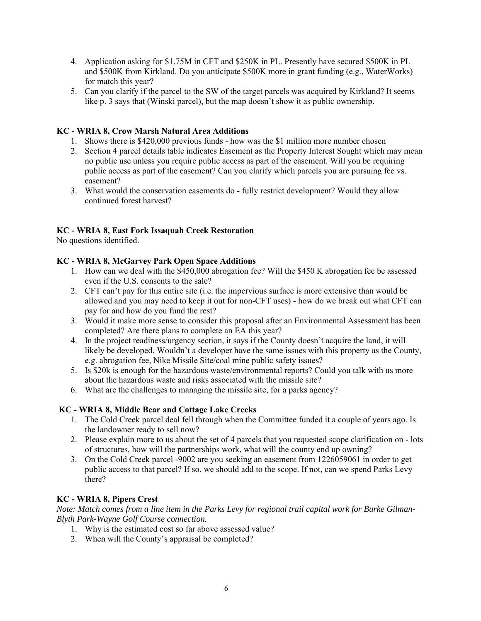- 4. Application asking for \$1.75M in CFT and \$250K in PL. Presently have secured \$500K in PL and \$500K from Kirkland. Do you anticipate \$500K more in grant funding (e.g., WaterWorks) for match this year?
- 5. Can you clarify if the parcel to the SW of the target parcels was acquired by Kirkland? It seems like p. 3 says that (Winski parcel), but the map doesn't show it as public ownership.

## **KC - WRIA 8, Crow Marsh Natural Area Additions**

- 1. Shows there is \$420,000 previous funds how was the \$1 million more number chosen
- 2. Section 4 parcel details table indicates Easement as the Property Interest Sought which may mean no public use unless you require public access as part of the easement. Will you be requiring public access as part of the easement? Can you clarify which parcels you are pursuing fee vs. easement?
- 3. What would the conservation easements do fully restrict development? Would they allow continued forest harvest?

## **KC - WRIA 8, East Fork Issaquah Creek Restoration**

No questions identified.

## **KC - WRIA 8, McGarvey Park Open Space Additions**

- 1. How can we deal with the \$450,000 abrogation fee? Will the \$450 K abrogation fee be assessed even if the U.S. consents to the sale?
- 2. CFT can't pay for this entire site (i.e. the impervious surface is more extensive than would be allowed and you may need to keep it out for non-CFT uses) - how do we break out what CFT can pay for and how do you fund the rest?
- 3. Would it make more sense to consider this proposal after an Environmental Assessment has been completed? Are there plans to complete an EA this year?
- 4. In the project readiness/urgency section, it says if the County doesn't acquire the land, it will likely be developed. Wouldn't a developer have the same issues with this property as the County, e.g. abrogation fee, Nike Missile Site/coal mine public safety issues?
- 5. Is \$20k is enough for the hazardous waste/environmental reports? Could you talk with us more about the hazardous waste and risks associated with the missile site?
- 6. What are the challenges to managing the missile site, for a parks agency?

## **KC - WRIA 8, Middle Bear and Cottage Lake Creeks**

- 1. The Cold Creek parcel deal fell through when the Committee funded it a couple of years ago. Is the landowner ready to sell now?
- 2. Please explain more to us about the set of 4 parcels that you requested scope clarification on lots of structures, how will the partnerships work, what will the county end up owning?
- 3. On the Cold Creek parcel -9002 are you seeking an easement from 1226059061 in order to get public access to that parcel? If so, we should add to the scope. If not, can we spend Parks Levy there?

## **KC - WRIA 8, Pipers Crest**

*Note: Match comes from a line item in the Parks Levy for regional trail capital work for Burke Gilman-Blyth Park-Wayne Golf Course connection.*

- 1. Why is the estimated cost so far above assessed value?
- 2. When will the County's appraisal be completed?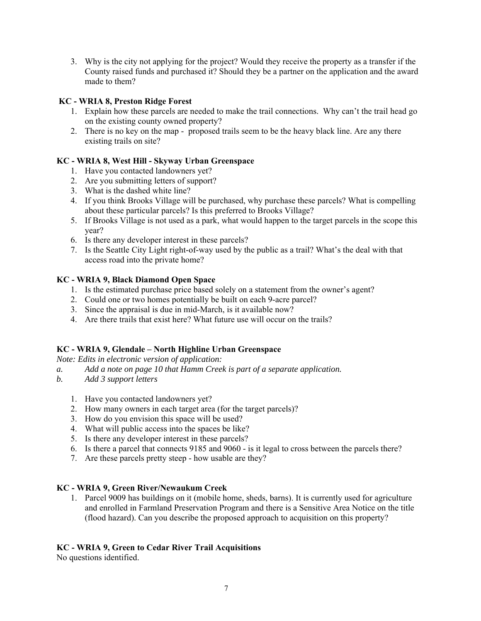3. Why is the city not applying for the project? Would they receive the property as a transfer if the County raised funds and purchased it? Should they be a partner on the application and the award made to them?

## **KC - WRIA 8, Preston Ridge Forest**

- 1. Explain how these parcels are needed to make the trail connections. Why can't the trail head go on the existing county owned property?
- 2. There is no key on the map proposed trails seem to be the heavy black line. Are any there existing trails on site?

# **KC - WRIA 8, West Hill - Skyway Urban Greenspace**

- 1. Have you contacted landowners yet?
- 2. Are you submitting letters of support?
- 3. What is the dashed white line?
- 4. If you think Brooks Village will be purchased, why purchase these parcels? What is compelling about these particular parcels? Is this preferred to Brooks Village?
- 5. If Brooks Village is not used as a park, what would happen to the target parcels in the scope this year?
- 6. Is there any developer interest in these parcels?
- 7. Is the Seattle City Light right-of-way used by the public as a trail? What's the deal with that access road into the private home?

# **KC - WRIA 9, Black Diamond Open Space**

- 1. Is the estimated purchase price based solely on a statement from the owner's agent?
- 2. Could one or two homes potentially be built on each 9-acre parcel?
- 3. Since the appraisal is due in mid-March, is it available now?
- 4. Are there trails that exist here? What future use will occur on the trails?

# **KC - WRIA 9, Glendale – North Highline Urban Greenspace**

*Note: Edits in electronic version of application:*

- *a. Add a note on page 10 that Hamm Creek is part of a separate application.*
- *b. Add 3 support letters* 
	- 1. Have you contacted landowners yet?
	- 2. How many owners in each target area (for the target parcels)?
	- 3. How do you envision this space will be used?
	- 4. What will public access into the spaces be like?
	- 5. Is there any developer interest in these parcels?
	- 6. Is there a parcel that connects 9185 and 9060 is it legal to cross between the parcels there?
	- 7. Are these parcels pretty steep how usable are they?

## **KC - WRIA 9, Green River/Newaukum Creek**

1. Parcel 9009 has buildings on it (mobile home, sheds, barns). It is currently used for agriculture and enrolled in Farmland Preservation Program and there is a Sensitive Area Notice on the title (flood hazard). Can you describe the proposed approach to acquisition on this property?

# **KC - WRIA 9, Green to Cedar River Trail Acquisitions**

No questions identified.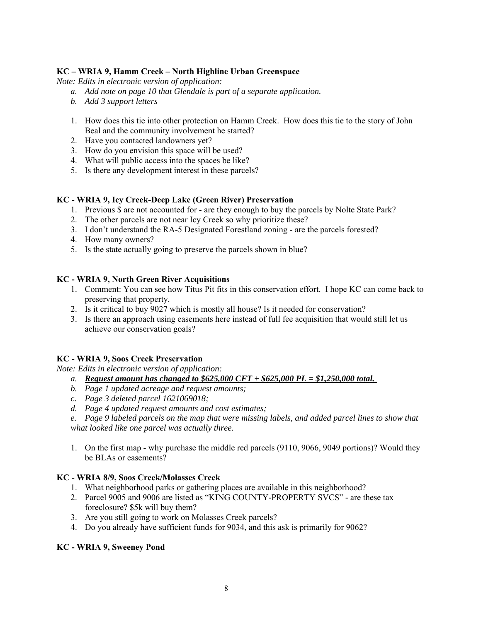## **KC – WRIA 9, Hamm Creek – North Highline Urban Greenspace**

*Note: Edits in electronic version of application:*

- *a. Add note on page 10 that Glendale is part of a separate application.*
- *b. Add 3 support letters*
- 1. How does this tie into other protection on Hamm Creek. How does this tie to the story of John Beal and the community involvement he started?
- 2. Have you contacted landowners yet?
- 3. How do you envision this space will be used?
- 4. What will public access into the spaces be like?
- 5. Is there any development interest in these parcels?

#### **KC - WRIA 9, Icy Creek-Deep Lake (Green River) Preservation**

- 1. Previous \$ are not accounted for are they enough to buy the parcels by Nolte State Park?
- 2. The other parcels are not near Icy Creek so why prioritize these?
- 3. I don't understand the RA-5 Designated Forestland zoning are the parcels forested?
- 4. How many owners?
- 5. Is the state actually going to preserve the parcels shown in blue?

#### **KC - WRIA 9, North Green River Acquisitions**

- 1. Comment: You can see how Titus Pit fits in this conservation effort. I hope KC can come back to preserving that property.
- 2. Is it critical to buy 9027 which is mostly all house? Is it needed for conservation?
- 3. Is there an approach using easements here instead of full fee acquisition that would still let us achieve our conservation goals?

#### **KC - WRIA 9, Soos Creek Preservation**

*Note: Edits in electronic version of application:*

- *a. Request amount has changed to \$625,000 CFT + \$625,000 PL = \$1,250,000 total.*
- *b. Page 1 updated acreage and request amounts;*
- *c. Page 3 deleted parcel 1621069018;*
- *d. Page 4 updated request amounts and cost estimates;*
- *e. Page 9 labeled parcels on the map that were missing labels, and added parcel lines to show that what looked like one parcel was actually three.*
- 1. On the first map why purchase the middle red parcels (9110, 9066, 9049 portions)? Would they be BLAs or easements?

#### **KC - WRIA 8/9, Soos Creek/Molasses Creek**

- 1. What neighborhood parks or gathering places are available in this neighborhood?
- 2. Parcel 9005 and 9006 are listed as "KING COUNTY-PROPERTY SVCS" are these tax foreclosure? \$5k will buy them?
- 3. Are you still going to work on Molasses Creek parcels?
- 4. Do you already have sufficient funds for 9034, and this ask is primarily for 9062?

#### **KC - WRIA 9, Sweeney Pond**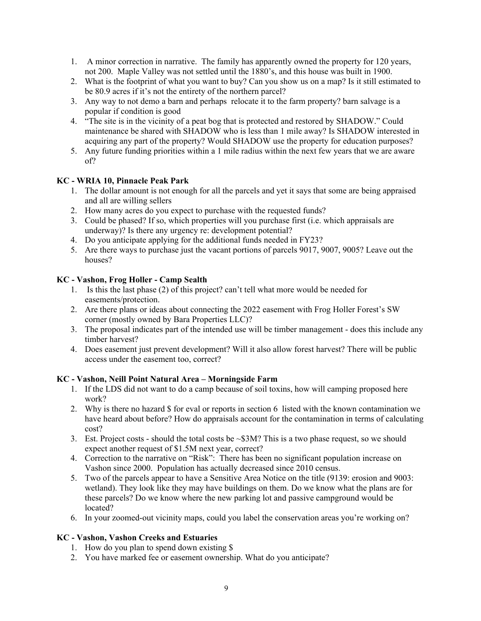- 1. A minor correction in narrative. The family has apparently owned the property for 120 years, not 200. Maple Valley was not settled until the 1880's, and this house was built in 1900.
- 2. What is the footprint of what you want to buy? Can you show us on a map? Is it still estimated to be 80.9 acres if it's not the entirety of the northern parcel?
- 3. Any way to not demo a barn and perhaps relocate it to the farm property? barn salvage is a popular if condition is good
- 4. "The site is in the vicinity of a peat bog that is protected and restored by SHADOW." Could maintenance be shared with SHADOW who is less than 1 mile away? Is SHADOW interested in acquiring any part of the property? Would SHADOW use the property for education purposes?
- 5. Any future funding priorities within a 1 mile radius within the next few years that we are aware of?

## **KC - WRIA 10, Pinnacle Peak Park**

- 1. The dollar amount is not enough for all the parcels and yet it says that some are being appraised and all are willing sellers
- 2. How many acres do you expect to purchase with the requested funds?
- 3. Could be phased? If so, which properties will you purchase first (i.e. which appraisals are underway)? Is there any urgency re: development potential?
- 4. Do you anticipate applying for the additional funds needed in FY23?
- 5. Are there ways to purchase just the vacant portions of parcels 9017, 9007, 9005? Leave out the houses?

## **KC - Vashon, Frog Holler - Camp Sealth**

- 1. Is this the last phase (2) of this project? can't tell what more would be needed for easements/protection.
- 2. Are there plans or ideas about connecting the 2022 easement with Frog Holler Forest's SW corner (mostly owned by Bara Properties LLC)?
- 3. The proposal indicates part of the intended use will be timber management does this include any timber harvest?
- 4. Does easement just prevent development? Will it also allow forest harvest? There will be public access under the easement too, correct?

#### **KC - Vashon, Neill Point Natural Area – Morningside Farm**

- 1. If the LDS did not want to do a camp because of soil toxins, how will camping proposed here work?
- 2. Why is there no hazard \$ for eval or reports in section 6 listed with the known contamination we have heard about before? How do appraisals account for the contamination in terms of calculating cost?
- 3. Est. Project costs should the total costs be  $\sim$ \$3M? This is a two phase request, so we should expect another request of \$1.5M next year, correct?
- 4. Correction to the narrative on "Risk": There has been no significant population increase on Vashon since 2000. Population has actually decreased since 2010 census.
- 5. Two of the parcels appear to have a Sensitive Area Notice on the title (9139: erosion and 9003: wetland). They look like they may have buildings on them. Do we know what the plans are for these parcels? Do we know where the new parking lot and passive campground would be located?
- 6. In your zoomed-out vicinity maps, could you label the conservation areas you're working on?

## **KC - Vashon, Vashon Creeks and Estuaries**

- 1. How do you plan to spend down existing \$
- 2. You have marked fee or easement ownership. What do you anticipate?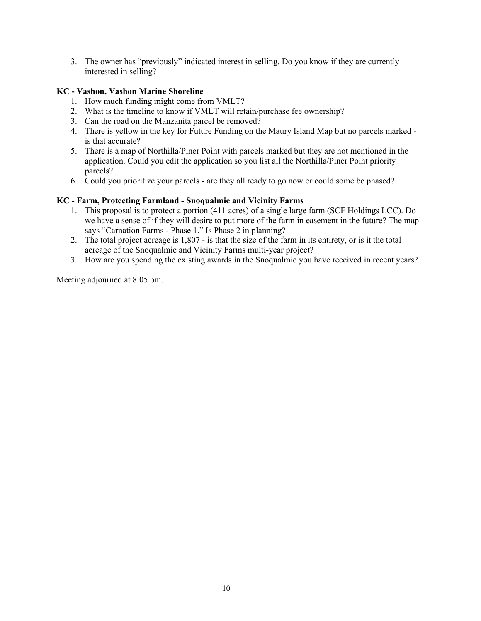3. The owner has "previously" indicated interest in selling. Do you know if they are currently interested in selling?

## **KC - Vashon, Vashon Marine Shoreline**

- 1. How much funding might come from VMLT?
- 2. What is the timeline to know if VMLT will retain/purchase fee ownership?
- 3. Can the road on the Manzanita parcel be removed?
- 4. There is yellow in the key for Future Funding on the Maury Island Map but no parcels marked is that accurate?
- 5. There is a map of Northilla/Piner Point with parcels marked but they are not mentioned in the application. Could you edit the application so you list all the Northilla/Piner Point priority parcels?
- 6. Could you prioritize your parcels are they all ready to go now or could some be phased?

## **KC - Farm, Protecting Farmland - Snoqualmie and Vicinity Farms**

- 1. This proposal is to protect a portion (411 acres) of a single large farm (SCF Holdings LCC). Do we have a sense of if they will desire to put more of the farm in easement in the future? The map says "Carnation Farms - Phase 1." Is Phase 2 in planning?
- 2. The total project acreage is 1,807 is that the size of the farm in its entirety, or is it the total acreage of the Snoqualmie and Vicinity Farms multi-year project?
- 3. How are you spending the existing awards in the Snoqualmie you have received in recent years?

Meeting adjourned at 8:05 pm.